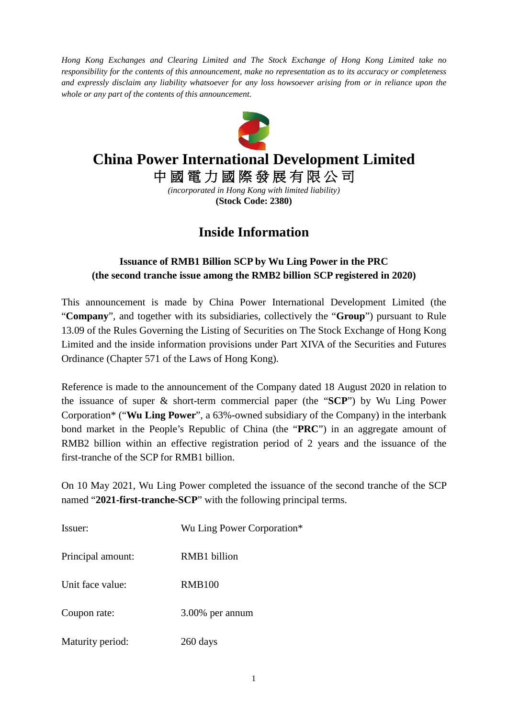*Hong Kong Exchanges and Clearing Limited and The Stock Exchange of Hong Kong Limited take no responsibility for the contents of this announcement, make no representation as to its accuracy or completeness and expressly disclaim any liability whatsoever for any loss howsoever arising from or in reliance upon the whole or any part of the contents of this announcement.*



## **China Power International Development Limited**

中 國 電 力 國 際 發 展 有 限 公 司

*(incorporated in Hong Kong with limited liability)* **(Stock Code: 2380)**

## **Inside Information**

## **Issuance of RMB1 Billion SCP by Wu Ling Power in the PRC (the second tranche issue among the RMB2 billion SCP registered in 2020)**

This announcement is made by China Power International Development Limited (the "**Company**", and together with its subsidiaries, collectively the "**Group**") pursuant to Rule 13.09 of the Rules Governing the Listing of Securities on The Stock Exchange of Hong Kong Limited and the inside information provisions under Part XIVA of the Securities and Futures Ordinance (Chapter 571 of the Laws of Hong Kong).

Reference is made to the announcement of the Company dated 18 August 2020 in relation to the issuance of super & short-term commercial paper (the "**SCP**") by Wu Ling Power Corporation\* ("**Wu Ling Power**", a 63%-owned subsidiary of the Company) in the interbank bond market in the People's Republic of China (the "**PRC**") in an aggregate amount of RMB2 billion within an effective registration period of 2 years and the issuance of the first-tranche of the SCP for RMB1 billion.

On 10 May 2021, Wu Ling Power completed the issuance of the second tranche of the SCP named "**2021-first-tranche-SCP**" with the following principal terms.

| Issuer:           | Wu Ling Power Corporation* |
|-------------------|----------------------------|
| Principal amount: | RMB1 billion               |
| Unit face value:  | <b>RMB100</b>              |
| Coupon rate:      | 3.00% per annum            |
| Maturity period:  | 260 days                   |